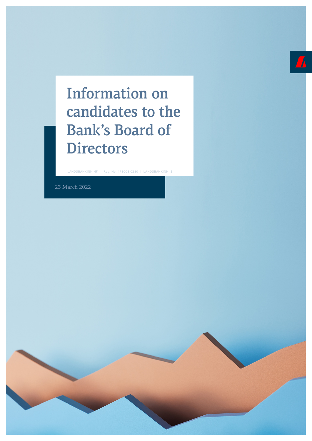# Information on candidates to the Bank's Board of **Directors**

LANDSBANKINN HF. | Reg. No. 471008 0280 | LANDSBANKINN.IS

23 March 2022

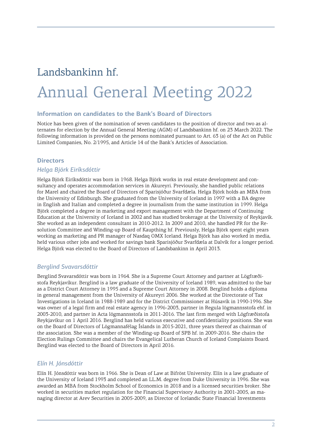# Landsbankinn hf.

# Annual General Meeting 2022

#### **Information on candidates to the Bank's Board of Directors**

Notice has been given of the nomination of seven candidates to the position of director and two as alternates for election by the Annual General Meeting (AGM) of Landsbankinn hf. on 23 March 2022. The following information is provided on the persons nominated pursuant to Art. 63 (a) of the Act on Public Limited Companies, No. 2/1995, and Article 14 of the Bank's Articles of Association.

#### **Directors**

#### *Helga Björk Eiríksdóttir*

Helga Björk Eiríksdóttir was born in 1968. Helga Björk works in real estate development and consultancy and operates accommodation services in Akureyri. Previously, she handled public relations for Marel and chaired the Board of Directors of Sparisjóður Svarfdæla. Helga Björk holds an MBA from the University of Edinburgh. She graduated from the University of Iceland in 1997 with a BA degree in English and Italian and completed a degree in journalism from the same institution in 1999. Helga Björk completed a degree in marketing and export management with the Department of Continuing Education at the University of Iceland in 2002 and has studied brokerage at the University of Reykjavík. She worked as an independent consultant in 2010-2012. In 2009 and 2010, she handled PR for the Resolution Committee and Winding-up Board of Kaupthing hf. Previously, Helga Björk spent eight years working as marketing and PR manager of Nasdaq OMX Iceland. Helga Björk has also worked in media, held various other jobs and worked for savings bank Sparisjóður Svarfdæla at Dalvík for a longer period. Helga Björk was elected to the Board of Directors of Landsbankinn in April 2013.

#### *Berglind Svavarsdóttir*

Berglind Svavarsdóttir was born in 1964. She is a Supreme Court Attorney and partner at Lögfræðistofa Reykjavíkur. Berglind is a law graduate of the University of Iceland 1989, was admitted to the bar as a District Court Attorney in 1995 and a Supreme Court Attorney in 2008. Berglind holds a diploma in general management from the University of Akureyri 2006. She worked at the Directorate of Tax Investigations in Iceland in 1988-1989 and for the District Commissioner at Húsavík in 1990-1996. She was owner of a legal firm and real estate agency in 1996-2003, partner in Regula lögmannsstofa ehf. in 2003-2010, and partner in Acta lögmannsstofa in 2011-2016. The last firm merged with Lögfræðistofa Reykjavíkur on 1 April 2016. Berglind has held various executive and confidentiality positions. She was on the Board of Directors of Lögmannafélag Íslands in 2015-2021, three years thereof as chairman of the association. She was a member of the Winding-up Board of SPB hf. in 2009-2016. She chairs the Election Rulings Committee and chairs the Evangelical Lutheran Church of Iceland Complaints Board. Berglind was elected to the Board of Directors in April 2016.

#### *Elín H. Jónsdóttir*

Elín H. Jónsdóttir was born in 1966. She is Dean of Law at Bifröst University. Elín is a law graduate of the University of Iceland 1993 and completed an LL.M. degree from Duke University in 1996. She was awarded an MBA from Stockholm School of Economics in 2018 and is a licensed securities broker. She worked in securities market regulation for the Financial Supervisory Authority in 2001-2005, as managing director at Arev Securities in 2005-2009, as Director of Icelandic State Financial Investments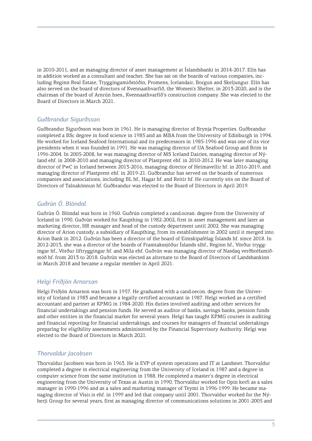in 2010-2011, and as managing director of asset management at Íslandsbanki in 2014-2017. Elín has in addition worked as a consultant and teacher. She has sat on the boards of various companies, including Reginn Real Estate, Tryggingamiðstöðin, Promens, Icelandair, Borgun and Skeljungur. Elín has also served on the board of directors of Kvennaathvarfið, the Women's Shelter, in 2013-2020, and is the chairman of the board of Arnrún hses., Kvennaathvarfið's construction company. She was elected to the Board of Directors in March 2021.

#### *Guðbrandur Sigurðsson*

Guðbrandur Sigurðsson was born in 1961. He is managing director of Brynja Properties. Guðbrandur completed a BSc degree in food science in 1985 and an MBA from the University of Edinburgh in 1994. He worked for Iceland Seafood International and its predecessors in 1985-1996 and was one of its vice presidents when it was founded in 1991. He was managing director of UA Seafood Group and Brim in 1996-2004. In 2005-2008, he was managing director of MS Iceland Dairies, managing director of Nýland ehf. in 2008-2010 and managing director of Plastprent ehf. in 2010-2012. He was later managing director of PwC in Iceland between 2013-2016, managing director of Heimavellir hf. in 2016-2019, and managing director of Plastprent ehf. in 2019-21. Guðbrandur has served on the boards of numerous companies and associations, including BL hf., Hagar hf. and Reitir hf. He currently sits on the Board of Directors of Talnakönnun hf. Guðbrandur was elected to the Board of Directors in April 2019.

## *Guðrún Ó. Blöndal*

Guðrún Ó. Blöndal was born in 1960. Guðrún completed a cand.ocean. degree from the University of Iceland in 1990. Guðrún worked for Kaupthing in 1982-2002, first in asset management and later as marketing director, HR manager and head of the custody department until 2002. She was managing director of Arion custody, a subsidiary of Kaupthing, from its establishment in 2002 until it merged into Arion Bank in 2012. Guðrún has been a director of the board of Eimskipafélag Íslands hf. since 2018. In 2012-2013, she was a director of the boards of Framtakssjóður Íslands slhf., Reginn hf., Vörður tryggingar hf., Vörður líftryggingar hf. and Míla ehf. Guðrún was managing director of Nasdaq verðbréfamiðstöð hf. from 2013 to 2018. Guðrún was elected as alternate to the Board of Directors of Landsbankinn in March 2018 and became a regular member in April 2021.

### *Helgi Friðjón Arnarson*

Helgi Friðjón Arnarson was born in 1957. He graduated with a cand.oecon. degree from the University of Iceland in 1983 and became a legally certified accountant in 1987. Helgi worked as a certified accountant and partner at KPMG in 1984-2020. His duties involved auditing and other services for financial undertakings and pension funds. He served as auditor of banks, savings banks, pension funds and other entities in the financial market for several years. Helgi has taught KPMG courses in auditing and financial reporting for financial undertakings, and courses for managers of financial undertakings preparing for eligibility assessments administered by the Financial Supervisory Authority. Helgi was elected to the Board of Directors in March 2021.

### *Thorvaldur Jacobsen*

Thorvaldur Jacobsen was born in 1963. He is EVP of system operations and IT at Landsnet. Thorvaldur completed a degree in electrical engineering from the University of Iceland in 1987 and a degree in computer science from the same institution in 1988. He completed a master's degree in electrical engineering from the University of Texas at Austin in 1990. Thorvaldur worked for Opin kerfi as a sales manager in 1990-1996 and as a sales and marketing manager of Teymi in 1996-1999. He became managing director of Vísir.is ehf. in 1999 and led that company until 2001. Thorvaldur worked for the Nýherji Group for several years, first as managing director of communications solutions in 2001-2005 and